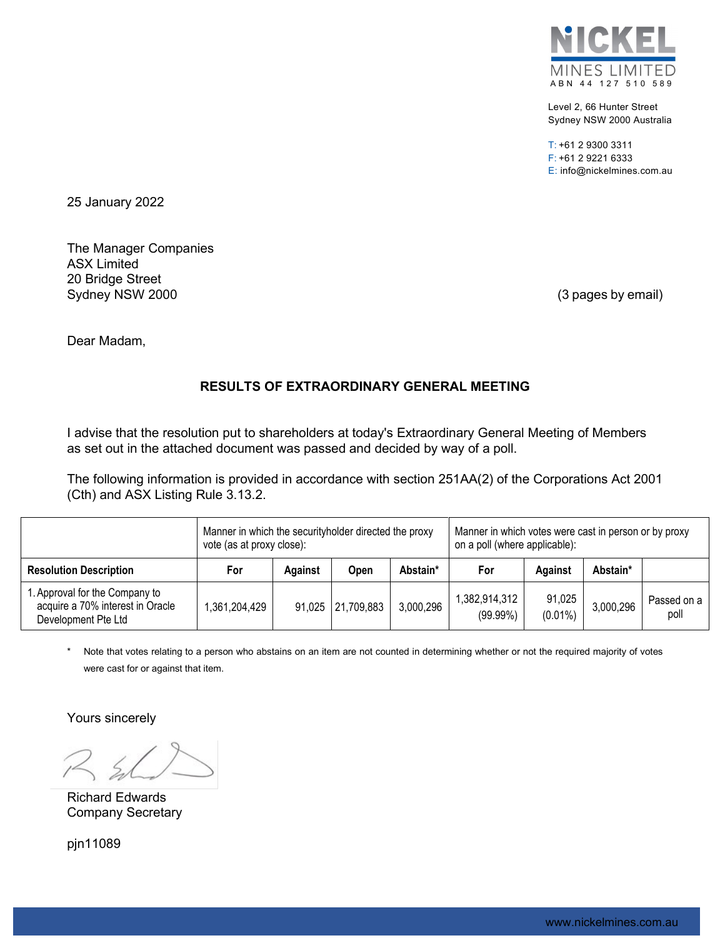

Level 2, 66 Hunter Street Sydney NSW 2000 Australia

T: +61 2 9300 3311 F: +61 2 9221 6333 E: info@nickelmines.com.au

25 January 2022

The Manager Companies ASX Limited 20 Bridge Street Sydney NSW 2000 (3 pages by email)

Dear Madam,

# **RESULTS OF EXTRAORDINARY GENERAL MEETING**

I advise that the resolution put to shareholders at today's Extraordinary General Meeting of Members as set out in the attached document was passed and decided by way of a poll.

The following information is provided in accordance with section 251AA(2) of the Corporations Act 2001 (Cth) and ASX Listing Rule 3.13.2.

|                                                                                           | Manner in which the security holder directed the proxy<br>vote (as at proxy close): |         |                   |           | Manner in which votes were cast in person or by proxy<br>on a poll (where applicable): |                      |           |                     |
|-------------------------------------------------------------------------------------------|-------------------------------------------------------------------------------------|---------|-------------------|-----------|----------------------------------------------------------------------------------------|----------------------|-----------|---------------------|
| <b>Resolution Description</b>                                                             | For                                                                                 | Against | <b>Open</b>       | Abstain*  | For                                                                                    | Against              | Abstain*  |                     |
| 1. Approval for the Company to<br>acquire a 70% interest in Oracle<br>Development Pte Ltd | ,361,204,429                                                                        |         | 91,025 21,709,883 | 3,000,296 | 1,382,914,312<br>(99.99%)                                                              | 91,025<br>$(0.01\%)$ | 3,000,296 | Passed on a<br>poll |

Note that votes relating to a person who abstains on an item are not counted in determining whether or not the required majority of votes were cast for or against that item.

Yours sincerely

Richard Edwards Company Secretary

pjn11089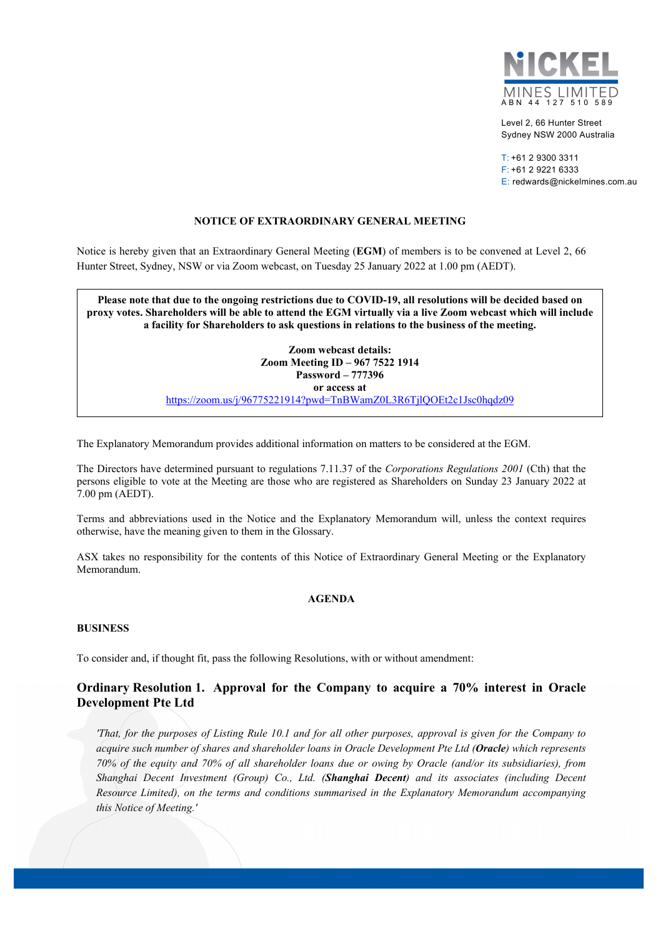

Level 2, 66 Hunter Street Sydney NSW 2000 Australia

 $T: +61$  2 9300 3311 F: +61 2 9221 6333 E: redwards@nickelmines.com.au

### **NOTICE OF EXTRAORDINARY GENERAL MEETING**

Notice is hereby given that an Extraordinary General Meeting (**EGM**) of members is to be convened at Level 2, 66 Hunter Street, Sydney, NSW or via Zoom webcast, on Tuesday 25 January 2022 at 1.00 pm (AEDT).

**Please note that due to the ongoing restrictions due to COVID-19, all resolutions will be decided based on proxy votes. Shareholders will be able to attend the EGM virtually via a live Zoom webcast which will include a facility for Shareholders to ask questions in relations to the business of the meeting.** 

> **Zoom webcast details: Zoom Meeting ID – 967 7522 1914 Password – 777396 or access at**

https://zoom.us/j/96775221914?pwd=TnBWamZ0L3R6TjlQOEt2c1Jsc0hqdz09

The Explanatory Memorandum provides additional information on matters to be considered at the EGM.

The Directors have determined pursuant to regulations 7.11.37 of the *Corporations Regulations 2001* (Cth) that the persons eligible to vote at the Meeting are those who are registered as Shareholders on Sunday 23 January 2022 at 7.00 pm (AEDT).

Terms and abbreviations used in the Notice and the Explanatory Memorandum will, unless the context requires otherwise, have the meaning given to them in the Glossary.

ASX takes no responsibility for the contents of this Notice of Extraordinary General Meeting or the Explanatory Memorandum.

### **AGENDA**

#### **BUSINESS**

To consider and, if thought fit, pass the following Resolutions, with or without amendment:

# **Ordinary Resolution 1. Approval for the Company to acquire a 70% interest in Oracle Development Pte Ltd**

*'That, for the purposes of Listing Rule 10.1 and for all other purposes, approval is given for the Company to acquire such number of shares and shareholder loans in Oracle Development Pte Ltd (Oracle) which represents 70% of the equity and 70% of all shareholder loans due or owing by Oracle (and/or its subsidiaries), from Shanghai Decent Investment (Group) Co., Ltd. (Shanghai Decent) and its associates (including Decent Resource Limited), on the terms and conditions summarised in the Explanatory Memorandum accompanying this Notice of Meeting.'*